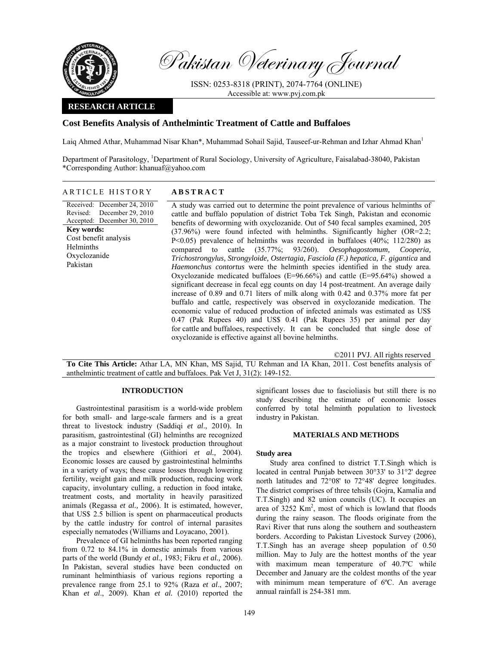

Pakistan Veterinary Journal

ISSN: 0253-8318 (PRINT), 2074-7764 (ONLINE) Accessible at: www.pvj.com.pk

# **RESEARCH ARTICLE**

# **Cost Benefits Analysis of Anthelmintic Treatment of Cattle and Buffaloes**

Laig Ahmed Athar, Muhammad Nisar Khan\*, Muhammad Sohail Sajid, Tauseef-ur-Rehman and Izhar Ahmad Khan<sup>1</sup>

Department of Parasitology, <sup>1</sup>Department of Rural Sociology, University of Agriculture, Faisalabad-38040, Pakistan \*Corresponding Author: khanuaf@yahoo.com

# ARTICLE HISTORY **ABSTRACT**

Received: December 24, 2010 Revised: Accepted: December 30, 2010 December 29, 2010 **Key words:**  Cost benefit analysis Helminths Oxyclozanide Pakistan

A study was carried out to determine the point prevalence of various helminths of cattle and buffalo population of district Toba Tek Singh, Pakistan and economic benefits of deworming with oxyclozanide. Out of 540 fecal samples examined, 205 (37.96%) were found infected with helminths. Significantly higher (OR=2.2; P<0.05) prevalence of helminths was recorded in buffaloes (40%; 112/280) as compared to cattle (35.77%; 93/260). *Oesophagostomum, Cooperia, Trichostrongylus, Strongyloide, Ostertagia, Fasciola (F.) hepatica, F. gigantica* and *Haemonchus contortus* were the helminth species identified in the study area. Oxyclozanide medicated buffaloes (E=96.66%) and cattle (E=95.64%) showed a significant decrease in fecal egg counts on day 14 post-treatment. An average daily increase of 0.89 and 0.71 liters of milk along with 0.42 and 0.37% more fat per buffalo and cattle, respectively was observed in oxyclozanide medication. The economic value of reduced production of infected animals was estimated as US\$ 0.47 (Pak Rupees 40) and US\$ 0.41 (Pak Rupees 35) per animal per day for cattle and buffaloes, respectively. It can be concluded that single dose of oxyclozanide is effective against all bovine helminths.

©2011 PVJ. All rights reserved

**To Cite This Article:** Athar LA, MN Khan, MS Sajid, TU Rehman and IA Khan, 2011. Cost benefits analysis of anthelmintic treatment of cattle and buffaloes. Pak Vet J, 31(2): 149-152.

# **INTRODUCTION**

Gastrointestinal parasitism is a world-wide problem for both small- and large-scale farmers and is a great threat to livestock industry (Saddiqi *et al*., 2010). In parasitism, gastrointestinal (GI) helminths are recognized as a major constraint to livestock production throughout the tropics and elsewhere (Githiori *et al.,* 2004). Economic losses are caused by gastrointestinal helminths in a variety of ways; these cause losses through lowering fertility, weight gain and milk production, reducing work capacity, involuntary culling, a reduction in food intake, treatment costs, and mortality in heavily parasitized animals (Regassa *et al.,* 2006). It is estimated, however, that US\$ 2.5 billion is spent on pharmaceutical products by the cattle industry for control of internal parasites especially nematodes (Williams and Loyacano, 2001).

Prevalence of GI helminths has been reported ranging from 0.72 to 84.1% in domestic animals from various parts of the world (Bundy *et al.,* 1983; Fikru *et al.,* 2006). In Pakistan, several studies have been conducted on ruminant helminthiasis of various regions reporting a prevalence range from 25.1 to 92% (Raza *et al*., 2007; Khan *et al*., 2009). Khan *et al.* (2010) reported the

significant losses due to fascioliasis but still there is no study describing the estimate of economic losses conferred by total helminth population to livestock industry in Pakistan.

# **MATERIALS AND METHODS**

#### **Study area**

Study area confined to district T.T.Singh which is located in central Punjab between 30°33' to 31°2' degree north latitudes and 72°08' to 72°48' degree longitudes. The district comprises of three tehsils (Gojra, Kamalia and T.T.Singh) and 82 union councils (UC). It occupies an area of  $3252$  Km<sup>2</sup>, most of which is lowland that floods during the rainy season. The floods originate from the Ravi River that runs along the southern and southeastern borders. According to Pakistan Livestock Survey (2006), T.T.Singh has an average sheep population of 0.50 million. May to July are the hottest months of the year with maximum mean temperature of 40.7ºC while December and January are the coldest months of the year with minimum mean temperature of 6ºC. An average annual rainfall is 254-381 mm.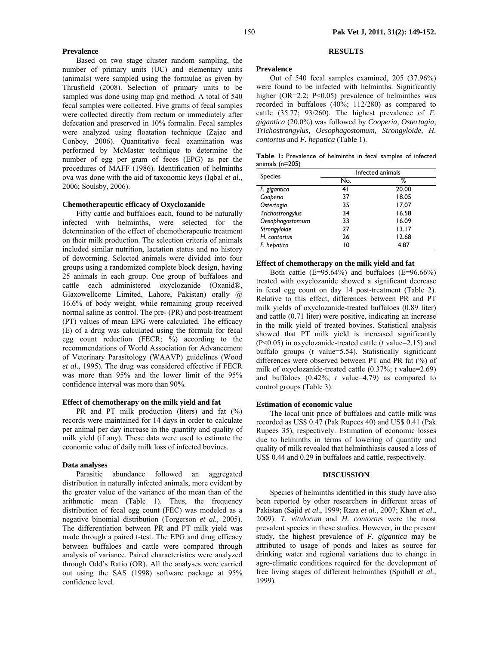### **Prevalence**

Based on two stage cluster random sampling, the number of primary units (UC) and elementary units (animals) were sampled using the formulae as given by Thrusfield (2008). Selection of primary units to be sampled was done using map grid method. A total of 540 fecal samples were collected. Five grams of fecal samples were collected directly from rectum or immediately after defecation and preserved in 10% formalin. Fecal samples were analyzed using floatation technique (Zajac and Conboy, 2006). Quantitative fecal examination was performed by McMaster technique to determine the number of egg per gram of feces (EPG) as per the procedures of MAFF (1986). Identification of helminths ova was done with the aid of taxonomic keys (Iqbal *et al.,*  2006; Soulsby, 2006).

## **Chemotherapeutic efficacy of Oxyclozanide**

Fifty cattle and buffaloes each, found to be naturally infected with helminths, were selected for the determination of the effect of chemotherapeutic treatment on their milk production. The selection criteria of animals included similar nutrition, lactation status and no history of deworming. Selected animals were divided into four groups using a randomized complete block design, having 25 animals in each group. One group of buffaloes and cattle each administered oxyclozanide (Oxanid®, Glaxowellcome Limited, Lahore, Pakistan) orally @ 16.6% of body weight, while remaining group received normal saline as control. The pre- (PR) and post-treatment (PT) values of mean EPG were calculated. The efficacy (E) of a drug was calculated using the formula for fecal egg count reduction (FECR; %) according to the recommendations of World Association for Advancement of Veterinary Parasitology (WAAVP) guidelines (Wood *et al.,* 1995). The drug was considered effective if FECR was more than 95% and the lower limit of the 95% confidence interval was more than 90%.

# **Effect of chemotherapy on the milk yield and fat**

PR and PT milk production (liters) and fat  $(\%)$ records were maintained for 14 days in order to calculate per animal per day increase in the quantity and quality of milk yield (if any). These data were used to estimate the economic value of daily milk loss of infected bovines.

#### **Data analyses**

Parasitic abundance followed an aggregated distribution in naturally infected animals, more evident by the greater value of the variance of the mean than of the arithmetic mean (Table 1). Thus, the frequency distribution of fecal egg count (FEC) was modeled as a negative binomial distribution (Torgerson *et al.,* 2005). The differentiation between PR and PT milk yield was made through a paired t-test. The EPG and drug efficacy between buffaloes and cattle were compared through analysis of variance. Paired characteristics were analyzed through Odd's Ratio (OR). All the analyses were carried out using the SAS (1998) software package at 95% confidence level.

# **RESULTS**

#### **Prevalence**

Out of 540 fecal samples examined, 205 (37.96%) were found to be infected with helminths. Significantly higher (OR=2.2; P<0.05) prevalence of helminthes was recorded in buffaloes (40%; 112/280) as compared to cattle (35.77; 93/260). The highest prevalence of *F. gigantica* (20.0%) was followed by *Cooperia, Ostertagia, Trichostrongylus, Oesophagostomum, Strongyloide, H. contortus* and *F. hepatica* (Table 1).

|                     | <b>Table I:</b> Prevalence of helminths in fecal samples of infected |  |  |  |  |
|---------------------|----------------------------------------------------------------------|--|--|--|--|
| animals ( $n=205$ ) |                                                                      |  |  |  |  |

| <b>Species</b>   | Infected animals |       |  |  |  |  |
|------------------|------------------|-------|--|--|--|--|
|                  | No.              | ℅     |  |  |  |  |
| F. gigantica     | 41               | 20.00 |  |  |  |  |
| Cooperia         | 37               | 18.05 |  |  |  |  |
| Ostertagia       | 35               | 17.07 |  |  |  |  |
| Trichostrongylus | 34               | 16.58 |  |  |  |  |
| Oesophagostomum  | 33               | 16.09 |  |  |  |  |
| Strongyloide     | 27               | 13.17 |  |  |  |  |
| H. contortus     | 26               | 12.68 |  |  |  |  |
| F. hepatica      | 10               | 4.87  |  |  |  |  |

### **Effect of chemotherapy on the milk yield and fat**

Both cattle (E=95.64%) and buffaloes (E=96.66%) treated with oxyclozanide showed a significant decrease in fecal egg count on day 14 post-treatment (Table 2). Relative to this effect, differences between PR and PT milk yields of oxyclozanide-treated buffaloes (0.89 liter) and cattle (0.71 liter) were positive, indicating an increase in the milk yield of treated bovines. Statistical analysis showed that PT milk yield is increased significantly (P<0.05) in oxyclozanide-treated cattle (*t* value=2.15) and buffalo groups (*t* value=5.54). Statistically significant differences were observed between PT and PR fat (%) of milk of oxyclozanide-treated cattle (0.37%; *t* value=2.69) and buffaloes (0.42%; *t* value=4.79) as compared to control groups (Table 3).

### **Estimation of economic value**

The local unit price of buffaloes and cattle milk was recorded as US\$ 0.47 (Pak Rupees 40) and US\$ 0.41 (Pak Rupees 35), respectively. Estimation of economic losses due to helminths in terms of lowering of quantity and quality of milk revealed that helminthiasis caused a loss of US\$ 0.44 and 0.29 in buffaloes and cattle, respectively.

### **DISCUSSION**

Species of helminths identified in this study have also been reported by other researchers in different areas of Pakistan (Sajid *et al*., 1999; Raza *et al*., 2007; Khan *et al*., 2009). *T. vitulorum* and *H. contortus* were the most prevalent species in these studies. However, in the present study, the highest prevalence of *F. gigantica* may be attributed to usage of ponds and lakes as source for drinking water and regional variations due to change in agro-climatic conditions required for the development of free living stages of different helminthes (Spithill *et al.,* 1999).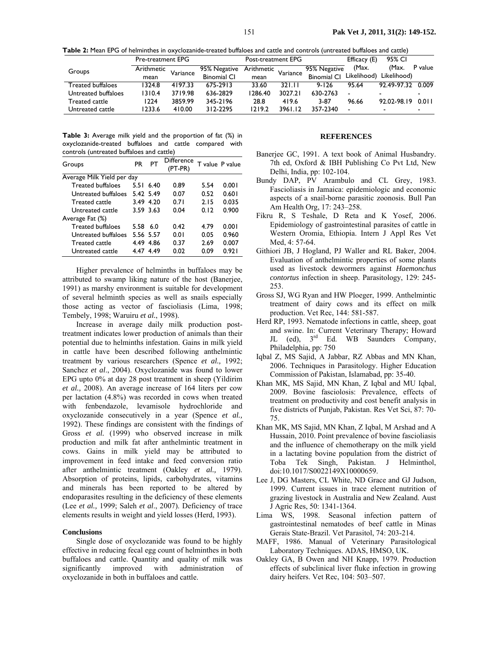**Table 2:** Mean EPG of helminthes in oxyclozanide-treated buffaloes and cattle and controls (untreated buffaloes and cattle)

|                     | Pre-treatment EPG |          |                    | Post-treatment EPG |                       |                    | Efficacy (E)             | 95% CI                                                                                                                                            |                |
|---------------------|-------------------|----------|--------------------|--------------------|-----------------------|--------------------|--------------------------|---------------------------------------------------------------------------------------------------------------------------------------------------|----------------|
| Groups              | Arithmetic        | Variance | 95% Negative       |                    | - Arithmetic Variance | 95% Negative       | (Max.                    | (Max.                                                                                                                                             | P value        |
|                     | mean              |          | <b>Binomial CI</b> | mean               |                       | <b>Binomial CI</b> | Likelihood)              | Likelihood)                                                                                                                                       |                |
| Treated buffaloes   | 1324.8            | 4197.33  | 675-2913           | 33.60              | 321.11                | $9 - 126$          | 95.64                    | 92.49-97.32 0.009                                                                                                                                 |                |
| Untreated buffaloes | 1310.4            | 3719.98  | 636-2829           | 1286.40            | 3027.21               | 630-2763           | $\overline{\phantom{0}}$ |                                                                                                                                                   |                |
| Treated cattle      | 1224              | 3859.99  | 345-2196           | 28.8               | 419.6                 | 3-87               | 96.66                    | 92.02-98.19                                                                                                                                       | 0.011          |
| Untreated cattle    | 1233.6            | 410.00   | 312-2295           | 1219.2             | 3961.12               | 357-2340           | $\blacksquare$           | $\hskip1.6pt\hskip1.6pt\hskip1.6pt\hskip1.6pt\hskip1.6pt\hskip1.6pt\hskip1.6pt\hskip1.6pt\hskip1.6pt\hskip1.6pt\hskip1.6pt\hskip1.6pt\hskip1.6pt$ | $\blacksquare$ |

**Table 3:** Average milk yield and the proportion of fat (%) in oxyclozanide-treated buffaloes and cattle compared with controls (untreated buffaloes and cattle)

| Groups                     | PR        | PТ        | Difference<br>(PT-PR) | T value P value |       |  |  |
|----------------------------|-----------|-----------|-----------------------|-----------------|-------|--|--|
| Average Milk Yield per day |           |           |                       |                 |       |  |  |
| <b>Treated buffaloes</b>   |           | 5.51 6.40 | 0.89                  | 5.54            | 0.001 |  |  |
| Untreated buffaloes        |           | 5.42 5.49 | 0.07                  | 0.52            | 0.601 |  |  |
| <b>Treated cattle</b>      |           | 3.49 4.20 | 0.71                  | 2.15            | 0.035 |  |  |
| Untreated cattle           | 3.59 3.63 |           | 0.04                  | 0.12            | 0.900 |  |  |
| Average Fat (%)            |           |           |                       |                 |       |  |  |
| <b>Treated buffaloes</b>   | 5.58      | 6.0       | 0.42                  | 4.79            | 0.001 |  |  |
| Untreated buffaloes        |           | 5.56 5.57 | 0.01                  | 0.05            | 0.960 |  |  |
| <b>Treated cattle</b>      | 4.49 4.86 |           | 0.37                  | 2.69            | 0.007 |  |  |
| Untreated cattle           | 4.47 4.49 |           | 0.02                  | 0.09            | 0.921 |  |  |

Higher prevalence of helminths in buffaloes may be attributed to swamp liking nature of the host (Banerjee, 1991) as marshy environment is suitable for development of several helminth species as well as snails especially those acting as vector of fascioliasis (Lima, 1998; Tembely, 1998; Waruiru *et al.*, 1998).

Increase in average daily milk production posttreatment indicates lower production of animals than their potential due to helminths infestation. Gains in milk yield in cattle have been described following anthelmintic treatment by various researchers (Spence *et al.,* 1992; Sanchez *et al*., 2004). Oxyclozanide was found to lower EPG upto 0% at day 28 post treatment in sheep (Yildirim *et al.,* 2008). An average increase of 164 liters per cow per lactation (4.8%) was recorded in cows when treated with fenbendazole, levamisole hydrochloride and oxyclozanide consecutively in a year (Spence *et al.,*  1992). These findings are consistent with the findings of Gross *et al.* (1999) who observed increase in milk production and milk fat after anthelmintic treatment in cows. Gains in milk yield may be attributed to improvement in feed intake and feed conversion ratio after anthelmintic treatment (Oakley *et al.,* 1979). Absorption of proteins, lipids, carbohydrates, vitamins and minerals has been reported to be altered by endoparasites resulting in the deficiency of these elements (Lee *et al.,* 1999; Saleh *et al*., 2007). Deficiency of trace elements results in weight and yield losses (Herd, 1993).

#### **Conclusions**

Single dose of oxyclozanide was found to be highly effective in reducing fecal egg count of helminthes in both buffaloes and cattle. Quantity and quality of milk was significantly improved with administration of oxyclozanide in both in buffaloes and cattle.

# **REFERENCES**

- Banerjee GC, 1991. A text book of Animal Husbandry. 7th ed, Oxford & IBH Publishing Co Pvt Ltd, New Delhi, India, pp: 102-104.
- Bundy DAP, PV Arambulo and CL Grey, 1983. Fascioliasis in Jamaica: epidemiologic and economic aspects of a snail-borne parasitic zoonosis. Bull Pan Am Health Org, 17: 243–258.
- Fikru R, S Teshale, D Reta and K Yosef, 2006. Epidemiology of gastrointestinal parasites of cattle in Western Oromia, Ethiopia. Intern J Appl Res Vet Med, 4: 57-64.
- Githiori JB, J Hogland, PJ Waller and RL Baker, 2004. Evaluation of anthelmintic properties of some plants used as livestock dewormers against *Haemonchus contortus* infection in sheep. Parasitology, 129: 245- 253.
- Gross SJ, WG Ryan and HW Ploeger, 1999. Anthelmintic treatment of dairy cows and its effect on milk production. Vet Rec, 144: 581-587.
- Herd RP, 1993. Nematode infections in cattle, sheep, goat and swine. In: Current Veterinary Therapy; Howard JL (ed), 3<sup>rd</sup> Ed. WB Saunders Company, Philadelphia, pp: 750
- Iqbal Z, MS Sajid, A Jabbar, RZ Abbas and MN Khan, 2006. Techniques in Parasitology. Higher Education Commission of Pakistan, Islamabad, pp: 35-40.
- Khan MK, MS Sajid, MN Khan, Z Iqbal and MU Iqbal, 2009. Bovine fasciolosis: Prevalence, effects of treatment on productivity and cost benefit analysis in five districts of Punjab, Pakistan. Res Vet Sci, 87: 70- 75.
- Khan MK, MS Sajid, MN Khan, Z Iqbal, M Arshad and A Hussain, 2010. Point prevalence of bovine fascioliasis and the influence of chemotherapy on the milk yield in a lactating bovine population from the district of Toba Tek Singh, Pakistan. J Helminthol, doi:10.1017/S0022149X10000659.
- Lee J, DG Masters, CL White, ND Grace and GJ Judson, 1999. Current issues in trace element nutrition of grazing livestock in Australia and New Zealand. Aust J Agric Res, 50: 1341-1364.
- Lima WS, 1998. Seasonal infection pattern of gastrointestinal nematodes of beef cattle in Minas Gerais State-Brazil. Vet Parasitol, 74: 203-214.
- MAFF, 1986. Manual of Veterinary Parasitological Laboratory Techniques. ADAS, HMSO, UK.
- Oakley GA, B Owen and NH Knapp, 1979. Production effects of subclinical liver fluke infection in growing dairy heifers. Vet Rec, 104: 503–507.